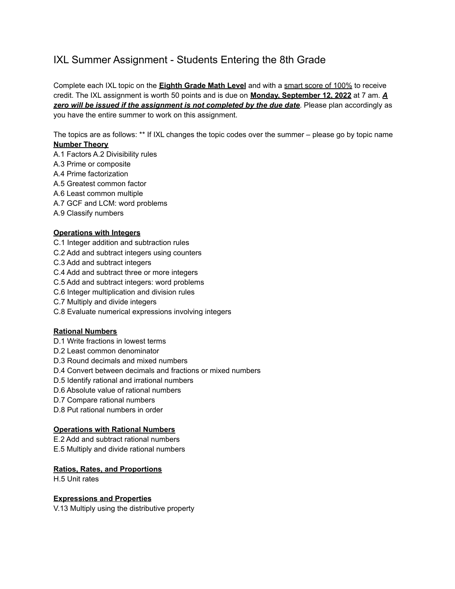# IXL Summer Assignment - Students Entering the 8th Grade

Complete each IXL topic on the **Eighth Grade Math Level** and with a smart score of 100% to receive credit. The IXL assignment is worth 50 points and is due on **Monday, September 12, 2022** at 7 am. *A zero will be issued if the assignment is not completed by the due date*. Please plan accordingly as you have the entire summer to work on this assignment.

The topics are as follows: \*\* If IXL changes the topic codes over the summer – please go by topic name **Number Theory**

- A.1 Factors A.2 Divisibility rules
- A.3 Prime or composite
- A.4 Prime factorization
- A.5 Greatest common factor
- A.6 Least common multiple
- A.7 GCF and LCM: word problems
- A.9 Classify numbers

### **Operations with Integers**

- C.1 Integer addition and subtraction rules
- C.2 Add and subtract integers using counters
- C.3 Add and subtract integers
- C.4 Add and subtract three or more integers
- C.5 Add and subtract integers: word problems
- C.6 Integer multiplication and division rules
- C.7 Multiply and divide integers
- C.8 Evaluate numerical expressions involving integers

## **Rational Numbers**

- D.1 Write fractions in lowest terms
- D.2 Least common denominator
- D.3 Round decimals and mixed numbers
- D.4 Convert between decimals and fractions or mixed numbers
- D.5 Identify rational and irrational numbers
- D.6 Absolute value of rational numbers
- D.7 Compare rational numbers
- D.8 Put rational numbers in order

#### **Operations with Rational Numbers**

E.2 Add and subtract rational numbers E.5 Multiply and divide rational numbers

## **Ratios, Rates, and Proportions**

H.5 Unit rates

#### **Expressions and Properties**

V.13 Multiply using the distributive property